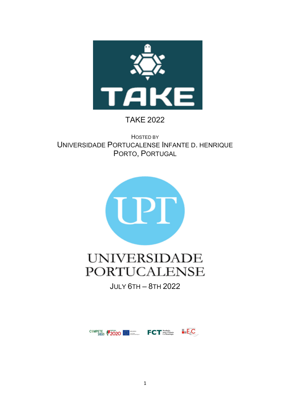

## TAKE 2022

HOSTED BY UNIVERSIDADE PORTUCALENSE INFANTE D. HENRIQUE PORTO, PORTUGAL



## **UNIVERSIDADE PORTUCALENSE**

JULY 6TH – 8TH 2022

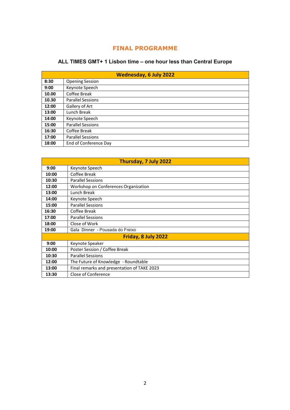## **FINAL PROGRAMME**

## **ALL TIMES GMT+ 1 Lisbon time – one hour less than Central Europe**

| <b>Wednesday, 6 July 2022</b> |                          |  |  |
|-------------------------------|--------------------------|--|--|
| 8:30                          | <b>Opening Session</b>   |  |  |
| 9:00                          | Keynote Speech           |  |  |
| 10.00                         | Coffee Break             |  |  |
| 10.30                         | <b>Parallel Sessions</b> |  |  |
| 12:00                         | Gallery of Art           |  |  |
| 13:00                         | Lunch Break              |  |  |
| 14:00                         | Keynote Speech           |  |  |
| 15:00                         | <b>Parallel Sessions</b> |  |  |
| 16:30                         | Coffee Break             |  |  |
| 17:00                         | <b>Parallel Sessions</b> |  |  |
| 18:00                         | End of Conference Day    |  |  |

| Thursday, 7 July 2022 |                                             |  |  |
|-----------------------|---------------------------------------------|--|--|
| 9:00                  | Keynote Speech                              |  |  |
| 10:00                 | Coffee Break                                |  |  |
| 10:30                 | <b>Parallel Sessions</b>                    |  |  |
| 12:00                 | Workshop on Conferences Organization        |  |  |
| 13:00                 | Lunch Break                                 |  |  |
| 14:00                 | Keynote Speech                              |  |  |
| 15:00                 | <b>Parallel Sessions</b>                    |  |  |
| 16:30                 | Coffee Break                                |  |  |
| 17:00                 | <b>Parallel Sessions</b>                    |  |  |
| 18:00                 | Close of Work                               |  |  |
| 19:00                 | Gala Dinner - Pousada do Freixo             |  |  |
|                       | Friday, 8 July 2022                         |  |  |
| 9:00                  | Keynote Speaker                             |  |  |
| 10:00                 | Poster Session / Coffee Break               |  |  |
| 10:30                 | <b>Parallel Sessions</b>                    |  |  |
| 12:00                 | The Future of Knowledge - Roundtable        |  |  |
| 13:00                 | Final remarks and presentation of TAKE 2023 |  |  |
| 13:30                 | Close of Conference                         |  |  |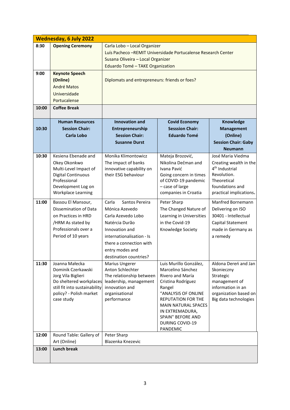|       | <b>Wednesday, 6 July 2022</b> |                                                                |                                               |                            |  |  |
|-------|-------------------------------|----------------------------------------------------------------|-----------------------------------------------|----------------------------|--|--|
| 8:30  | <b>Opening Ceremony</b>       | Carla Lobo - Local Organizer                                   |                                               |                            |  |  |
|       |                               | Luís Pacheco - REMIT Universidade Portucalense Research Center |                                               |                            |  |  |
|       |                               | Susana Oliveira - Local Organizer                              |                                               |                            |  |  |
|       |                               | Eduardo Tomé - TAKE Organization                               |                                               |                            |  |  |
| 9:00  | <b>Keynote Speech</b>         |                                                                |                                               |                            |  |  |
|       | (Online)                      | Diplomats and entrepreneurs: friends or foes?                  |                                               |                            |  |  |
|       | André Matos                   |                                                                |                                               |                            |  |  |
|       | Universidade                  |                                                                |                                               |                            |  |  |
|       | Portucalense                  |                                                                |                                               |                            |  |  |
| 10:00 | <b>Coffee Break</b>           |                                                                |                                               |                            |  |  |
|       |                               |                                                                |                                               |                            |  |  |
|       | <b>Human Resources</b>        | Innovation and                                                 | <b>Covid Economy</b>                          | Knowledge                  |  |  |
| 10:30 | <b>Session Chair:</b>         | Entrepreneurship                                               | <b>Sesssion Chair:</b>                        | <b>Management</b>          |  |  |
|       | <b>Carla Lobo</b>             | <b>Session Chair:</b>                                          | <b>Eduardo Tomé</b>                           | (Online)                   |  |  |
|       |                               | <b>Susanne Durst</b>                                           |                                               | <b>Session Chair: Gaby</b> |  |  |
|       |                               |                                                                |                                               | <b>Neumann</b>             |  |  |
| 10:30 | Kesiena Ebenade and           | Monika Klimontowicz                                            | Mateja Brozović,                              | José Maria Viedma          |  |  |
|       | Okey Okonkwo                  | The impact of banks                                            | Nikolina Dečman and                           | Creating wealth in the     |  |  |
|       | Multi-Level Impact of         | innovative capability on                                       | 4 <sup>th</sup> Industrial<br>Ivana Pavić     |                            |  |  |
|       | Digital Continuous            | their ESG behaviour                                            | Going concern in times                        | Revolution.                |  |  |
|       | Professional                  | Theoretical<br>of COVID-19 pandemic                            |                                               |                            |  |  |
|       | Development Log on            |                                                                | - case of large                               | foundations and            |  |  |
|       | <b>Workplace Learning</b>     |                                                                | companies in Croatia                          | practical implications.    |  |  |
| 11:00 | Bassou El Mansour,            | Carla<br>Santos Pereira                                        | Peter Sharp                                   | Manfred Bornemann          |  |  |
|       | Dissemination of Data         | Mónica Azevedo                                                 | The Changed Nature of                         | Delivering on ISO          |  |  |
|       | on Practices in HRD           | Carla Azevedo Lobo                                             | Learning in Universities                      | 30401 - Intellectual       |  |  |
|       | /HRM As stated by             | Natércia Durão                                                 | in the Covid-19                               | Capital Statement          |  |  |
|       | Professionals over a          | Innovation and                                                 | Knowledge Society                             | made in Germany as         |  |  |
|       | Period of 10 years            | internationalisation - Is<br>a remedy                          |                                               |                            |  |  |
|       |                               | there a connection with                                        |                                               |                            |  |  |
|       |                               | entry modes and                                                |                                               |                            |  |  |
|       |                               | destination countries?                                         |                                               |                            |  |  |
| 11:30 | Joanna Małecka                | <b>Marius Ungerer</b>                                          | Luis Murillo González,                        | Aldona Dereń and Jan       |  |  |
|       | Dominik Czerkawski            | Anton Schlechter                                               | Marcelino Sánchez                             | Skonieczny                 |  |  |
|       | Jorg Vila Biglieri            | The relationship between                                       | Rivero and María                              | Strategic                  |  |  |
|       | Do sheltered workplaces       | leadership, management                                         | Cristina Rodríguez                            | management of              |  |  |
|       | still fit into sustainability | innovation and                                                 | Rangel                                        | information in an          |  |  |
|       | policy? - Polish market       | "ANALYSIS OF ONLINE<br>organisational<br>organization based on |                                               |                            |  |  |
|       | case study                    | performance                                                    | <b>REPUTATION FOR THE</b>                     | Big data technologies      |  |  |
|       |                               |                                                                | <b>MAIN NATURAL SPACES</b><br>IN EXTREMADURA, |                            |  |  |
|       |                               |                                                                | SPAIN" BEFORE AND                             |                            |  |  |
|       |                               |                                                                | <b>DURING COVID-19</b>                        |                            |  |  |
|       |                               |                                                                | PANDEMIC                                      |                            |  |  |
| 12:00 | Round Table: Gallery of       | Peter Sharp                                                    |                                               |                            |  |  |
|       | Art (Online)                  | Blazenka Knezevic                                              |                                               |                            |  |  |
| 13:00 | <b>Lunch break</b>            |                                                                |                                               |                            |  |  |
|       |                               |                                                                |                                               |                            |  |  |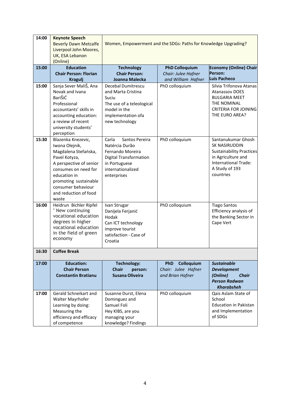| 14:00 | <b>Keynote Speech</b><br><b>Beverly Dawn Metcalfe</b><br>Liverpool John Moores,<br>UK, ESA Lebanon<br>(Online) | Women, Empowerment and the SDGs: Paths for Knowledge Upgrading? |                          |                                                 |  |
|-------|----------------------------------------------------------------------------------------------------------------|-----------------------------------------------------------------|--------------------------|-------------------------------------------------|--|
| 15:00 | <b>Education</b>                                                                                               | <b>Technology</b>                                               | <b>PhD Colloquium</b>    | <b>Economy (Online) Chair</b>                   |  |
|       | <b>Chair Person: Florian</b>                                                                                   | <b>Chair Person:</b>                                            | Chair: Julee Hafner      | Person:                                         |  |
|       | <b>Kragulj</b>                                                                                                 | Joanna Malecka                                                  | and William Hafner       | Luís Pacheco                                    |  |
| 15:00 | Sanja Sever MaliŠ, Ana                                                                                         | Decebal Dumitrescu                                              | PhD colloquium           | Silvia Trifonova Atanas                         |  |
|       | Novak and Ivana                                                                                                | and Marta Cristina                                              |                          | <b>Atanassov DOES</b>                           |  |
|       | BariŠiĆ                                                                                                        | Suciu                                                           |                          | <b>BULGARIA MEET</b>                            |  |
|       | Professional                                                                                                   | The use of a teleological                                       |                          | THE NOMINAL                                     |  |
|       | accountants' skills in                                                                                         | model in the                                                    |                          | <b>CRITERIA FOR JOINING</b><br>THE EURO AREA?   |  |
|       | accounting education:                                                                                          | implementation ofa                                              |                          |                                                 |  |
|       | a review of recent                                                                                             | new technology                                                  |                          |                                                 |  |
|       | university students'<br>perception                                                                             |                                                                 |                          |                                                 |  |
| 15:30 | Blazenka Knezevic,                                                                                             | Carla<br>Santos Pereira                                         | PhD colloquium           | Santanukumar Ghosh                              |  |
|       | Iwona Olejnik,                                                                                                 | Natércia Durão                                                  |                          | <b>SK NASIRUDDIN</b>                            |  |
|       | Magdalena Stefańska,                                                                                           | Fernando Moreira                                                |                          | <b>Sustainability Practices</b>                 |  |
|       | Pavel Kotyza,                                                                                                  | <b>Digital Transformation</b>                                   |                          | in Agriculture and                              |  |
|       | A perspective of senior                                                                                        | in Portuguese                                                   |                          | <b>International Trade:</b>                     |  |
|       | consumes on need for                                                                                           | internationalized                                               |                          | A Study of 193                                  |  |
|       | education in                                                                                                   | enterprises                                                     |                          | countries                                       |  |
|       | promoting sustainable                                                                                          |                                                                 |                          |                                                 |  |
|       | consumer behaviour                                                                                             |                                                                 |                          |                                                 |  |
|       | and reduction of food                                                                                          |                                                                 |                          |                                                 |  |
|       | waste                                                                                                          |                                                                 |                          |                                                 |  |
| 16:00 | Heidrun Bichler Ripfel<br>" New continuing                                                                     | Ivan Strugar                                                    | PhD colloquium           | <b>Tiago Santos</b>                             |  |
|       | vocational education                                                                                           | Danijela Ferjanić<br>Hodak                                      |                          | Efficiency analysis of<br>the Banking Sector in |  |
|       | degrees in higher                                                                                              |                                                                 |                          | Cape Vert                                       |  |
|       | vocational education                                                                                           | Can ICT technology<br>improve tourist                           |                          |                                                 |  |
|       | in the field of green                                                                                          | satisfaction - Case of                                          |                          |                                                 |  |
|       | economy                                                                                                        | Croatia                                                         |                          |                                                 |  |
|       |                                                                                                                |                                                                 |                          |                                                 |  |
| 16:30 | <b>Coffee Break</b>                                                                                            |                                                                 |                          |                                                 |  |
| 17:00 | <b>Education:</b>                                                                                              | <b>Technology:</b>                                              | Colloquium<br><b>PhD</b> | <b>Sustainable</b>                              |  |
|       | <b>Chair Person</b>                                                                                            | <b>Chair</b><br>person:                                         | Chair: Julee Hafner      | <b>Development</b>                              |  |
|       | <b>Constantin Bratianu</b>                                                                                     | Susana Oliveira                                                 | and Brian Hafner         | (Online)<br><b>Chair</b>                        |  |
|       |                                                                                                                |                                                                 |                          | <b>Person Radwan</b>                            |  |
|       |                                                                                                                |                                                                 |                          | <b>Kharabsheh</b>                               |  |
| 17:00 | Gerald Schneikart and                                                                                          | Susanne Durst, Elena                                            | PhD colloquium           | Qais Aslam State of                             |  |
|       | Walter Mayrhofer                                                                                               | Dominguez and<br>Samuel Foli                                    |                          | School<br><b>Education in Pakistan</b>          |  |
|       | Learning by doing:                                                                                             |                                                                 |                          | and Implementation                              |  |
|       | Measuring the<br>efficiency and efficacy                                                                       | Hey KIBS, are you<br>managing your                              |                          | of SDGs                                         |  |
|       | of competence                                                                                                  | knowledge? Findings                                             |                          |                                                 |  |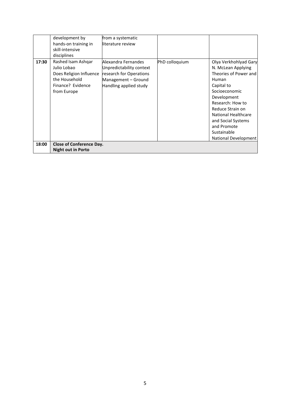|       | development by<br>hands-on training in<br>skill-intensive<br>disciplines                                          | from a systematic<br>literature review                                                                                      |                |                                                                                                                                                                                                                                                                               |
|-------|-------------------------------------------------------------------------------------------------------------------|-----------------------------------------------------------------------------------------------------------------------------|----------------|-------------------------------------------------------------------------------------------------------------------------------------------------------------------------------------------------------------------------------------------------------------------------------|
| 17:30 | Rashed Isam Ashqar<br>Julio Lobao<br>Does Religion Influence<br>the Household<br>Finance? Evidence<br>from Europe | Alexandra Fernandes<br>Unpredictability context<br>research for Operations<br>Management - Ground<br>Handling applied study | PhD colloquium | Olya Verkhohlyad Gary<br>N. McLean Applying<br>Theories of Power and<br>Human<br>Capital to<br>Socioeconomic<br>Development<br>Research: How to<br>Reduce Strain on<br><b>National Healthcare</b><br>and Social Systems<br>and Promote<br>Sustainable<br>National Development |
| 18:00 | <b>Close of Conference Day.</b><br><b>Night out in Porto</b>                                                      |                                                                                                                             |                |                                                                                                                                                                                                                                                                               |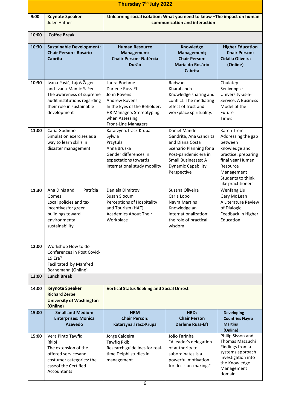| Thursday 7 <sup>th</sup> July 2022 |                                                                                                                                                           |                                                                                                                                                                                            |                                                                                                                                                                                  |                                                                                                                                                                              |  |
|------------------------------------|-----------------------------------------------------------------------------------------------------------------------------------------------------------|--------------------------------------------------------------------------------------------------------------------------------------------------------------------------------------------|----------------------------------------------------------------------------------------------------------------------------------------------------------------------------------|------------------------------------------------------------------------------------------------------------------------------------------------------------------------------|--|
| 9:00                               | <b>Keynote Speaker</b><br><b>Julee Hafner</b>                                                                                                             | Unlearning social isolation: What you need to know -The impact on human<br>communication and interaction                                                                                   |                                                                                                                                                                                  |                                                                                                                                                                              |  |
| 10:00                              | <b>Coffee Break</b>                                                                                                                                       |                                                                                                                                                                                            |                                                                                                                                                                                  |                                                                                                                                                                              |  |
| 10:30                              | <b>Sustainable Development:</b><br><b>Chair Person: Rosário</b><br>Cabrita                                                                                | <b>Human Resource</b><br><b>Management:</b><br><b>Chaiir Person- Natércia</b><br>Durão                                                                                                     | Knowledge<br>Management;<br><b>Chair Person:</b><br><b>Maria do Rosário</b><br><b>Cabrita</b>                                                                                    | <b>Higher Education</b><br><b>Chair Person:</b><br>Cidália Oliveira<br>(Online)                                                                                              |  |
| 10:30                              | Ivana Pavić, Lajoš Žager<br>and Ivana Mamić Sačer<br>The awareness of supreme<br>audit institutions regarding<br>their role in sustainable<br>development | Laura Boehme<br>Darlene Russ-Eft<br>John Rovens<br><b>Andrew Rovens</b><br>In the Eyes of the Beholder:<br><b>HR Managers Stereotyping</b><br>when Assessing<br><b>Front-Line Managers</b> | Radwan<br>Kharabsheh<br>Knowledge sharing and<br>conflict: The mediating<br>effect of trust and<br>workplace spirituality.                                                       | Chulatep<br>Senivongse<br>University-as-a-<br>Service: A Business<br>Model of the<br>Future<br><b>Times</b>                                                                  |  |
| 11:00                              | Catia Godinho<br>Simulation exercises as a<br>way to learn skills in<br>disaster management                                                               | Katarzyna. Tracz-Krupa<br>Sylwia<br>Przytuła<br>Anna Bruska<br>Gender differences in<br>expectations towards<br>international study mobility                                               | Daniel Mandel<br>Gandrita, Ana Gandrita<br>and Diana Costa<br>Scenario Planning for a<br>Post-pandemic era in<br><b>Small Businesses: A</b><br>Dynamic Capability<br>Perspective | Karen Trem<br>Addressing the gap<br>between<br>knowledge and<br>practice: preparing<br>final year Human<br>Resource<br>Management<br>Students to think<br>like practitioners |  |
| 11:30                              | Ana Dinis and<br>Patrícia<br>Gomes<br>Local policies and tax<br>incentivesfor green<br>buildings toward<br>environmental<br>sustainability                | Daniela Dimitrov<br>Susan Slocum<br>Perceptions of Hospitality<br>and Tourism (HAT)<br><b>Academics About Their</b><br>Workplace                                                           | Susana Oliveira<br>Carla Lobo<br>Nayra Martins<br>Knowledge an<br>internationalization:<br>the role of practical<br>wisdom                                                       | Wenfang Liu<br>Gary Mc Lean<br>A Literature Review<br>of Dialogic<br>Feedback in Higher<br>Education                                                                         |  |
| 12:00                              | Workshop How to do<br>Conferences in Post Covid-<br>19 Era?<br>Facilitated by Manfred<br>Bornemann (Online)                                               |                                                                                                                                                                                            |                                                                                                                                                                                  |                                                                                                                                                                              |  |
| 13:00                              | <b>Lunch Break</b>                                                                                                                                        |                                                                                                                                                                                            |                                                                                                                                                                                  |                                                                                                                                                                              |  |
| 14:00                              | <b>Keynote Speaker</b><br><b>Richard Zerbe</b><br><b>University of Washington</b><br>(Online)                                                             | <b>Vertical Status Seeking and Social Unrest</b>                                                                                                                                           |                                                                                                                                                                                  |                                                                                                                                                                              |  |
| 15:00                              | <b>Small and Medium</b><br><b>Enterprises: Monica</b><br><b>Azevedo</b>                                                                                   | <b>HRM</b><br><b>Chair Person:</b><br>Katarzyna. Tracz-Krupa                                                                                                                               | HRD:<br><b>Chair Person</b><br><b>Darlene Russ-Eft</b>                                                                                                                           | <b>Developing</b><br><b>Countries Nayra</b><br><b>Martins</b><br>(Online)                                                                                                    |  |
| 15:00                              | Vera Pinto Tawfiq<br>Rkibi<br>The extension of the<br>offered servicesand<br>costumer categories: the<br>caseof the Certified<br>Accountants              | Jorge Caldeira<br>Tawfiq Rkibi<br>Research guidelines for real-<br>time Delphi studies in<br>management                                                                                    | João Farinha<br>"A leader's delegation<br>of authority to<br>subordinates is a<br>powerful motivation<br>for decision-making."                                                   | Philip Sisson and<br>Thomas Mazzuchi<br>Findings from a<br>systems approach<br>investigation into<br>the Knowledge<br>Management<br>domain                                   |  |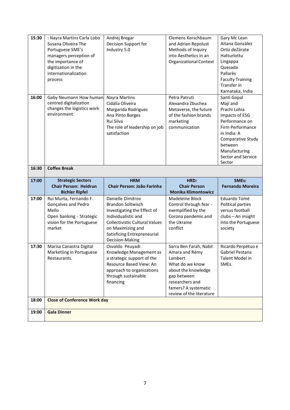| 15:30 | : Nayra Martins Carla Lobo               | Andrej Bregar                         | Clemens Kerschbaum                               | Gary Mc Lean                          |
|-------|------------------------------------------|---------------------------------------|--------------------------------------------------|---------------------------------------|
|       | Susana Oliveira The                      | Decision Support for                  | and Adrian Repolust                              | Aitana González                       |
|       | Portuguese SME's                         | Industry 5.0                          | Methods of Inquiry                               | Ortiz deZárate                        |
|       | managers perception of                   |                                       | into Aesthetics in an                            | Hatturlottu                           |
|       | the importance of                        |                                       | <b>Organizational Context</b>                    | Lingappa                              |
|       | digitization in the                      |                                       |                                                  | Quesada                               |
|       | internationalization                     |                                       |                                                  | Pallarès                              |
|       | process                                  |                                       |                                                  | <b>Faculty Training</b>               |
|       |                                          |                                       |                                                  | Transfer in                           |
|       |                                          |                                       |                                                  | Karnataka, India                      |
| 16:00 | Gaby Neumann How human                   | <b>Nayra Martins</b>                  | Petra Patruti                                    | Santi Gopal                           |
|       | centred digitalization                   | Cidália Oliveira                      | Alexandra Zbuchea                                | Maji and                              |
|       | changes the logistics work               | Margarida Rodrigues                   | Metaverse, the future                            | Prachi Lohia                          |
|       | environment                              | Ana Pinto Borges                      | of the fashion brands                            | Impacts of ESG                        |
|       |                                          | Rui Silva                             | marketing                                        | Performance on                        |
|       |                                          | The role of leadership on job         | communication                                    | Firm Performance                      |
|       |                                          | satisfaction                          |                                                  | in India: A                           |
|       |                                          |                                       |                                                  | Comparative Study                     |
|       |                                          |                                       |                                                  | between                               |
|       |                                          |                                       |                                                  | Manufacturing                         |
|       |                                          |                                       |                                                  | <b>Sector and Service</b>             |
|       |                                          |                                       |                                                  | Sector                                |
| 16:30 | <b>Coffee Break</b>                      |                                       |                                                  |                                       |
|       |                                          |                                       |                                                  |                                       |
|       |                                          |                                       |                                                  |                                       |
| 17:00 | <b>Strategic Sectors</b>                 | <b>HRM</b>                            | HRD:                                             | SMEs:                                 |
|       | <b>Chair Person: Heidrun</b>             | Chair Person: João Farinha            | <b>Chair Person</b>                              | <b>Fernando Moreira</b>               |
| 17:00 | <b>Bichler Ripfel</b>                    |                                       | <b>Monika Klimontowicz</b><br>Madeleine Block    |                                       |
|       | Rui Murta, Fernando F.                   | Danielle Dimitrov                     |                                                  | Eduardo Tomé                          |
|       | Gonçalves and Pedro                      | <b>Brandon Soltwisch</b>              | Control through fear -                           | Political parties                     |
|       | Mello                                    | Investigating the Effect of           | exemplified by the                               | versus football                       |
|       | Open banking - Strategic                 | Individualistic and                   | Corona pandemic and                              | clubs - An insight                    |
|       | vision for the Portuguese                | <b>Collectivistic Cultural Values</b> | the Ukraine                                      | into the Portuguese                   |
|       | market                                   | on Maximizing and                     | conflict                                         | society                               |
|       |                                          | Satisficing Entrepreneurial           |                                                  |                                       |
|       |                                          | Decision-Making                       |                                                  |                                       |
| 17:30 | Marisa Canastra Digital                  | Osvaldo Peuyadi                       | Sarra Ben Farah, Nabil                           | Ricardo Perpétuo e                    |
|       | Marketiing in Portuguese<br>Restaurants. | Knowledge Management as               | Amara and Rémy<br>Lambert                        | Gabriel Pestana                       |
|       |                                          | a strategic support of the            |                                                  | Talent Model in<br>SME <sub>s</sub> . |
|       |                                          | Resource Based View: An               | What do we know                                  |                                       |
|       |                                          | approach to organizations             | about the knowledge                              |                                       |
|       |                                          | through sustainable                   | gap between                                      |                                       |
|       |                                          | financing                             | researchers and                                  |                                       |
|       |                                          |                                       | famers? A systematic<br>review of the literature |                                       |
| 18:00 | <b>Close of Conference Work day</b>      |                                       |                                                  |                                       |
|       |                                          |                                       |                                                  |                                       |
| 19:00 | <b>Gala Dinner</b>                       |                                       |                                                  |                                       |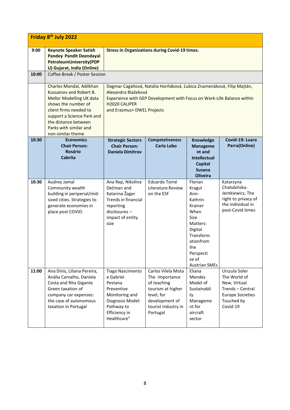| Friday 8 <sup>th</sup> July 2022 |                                                                                                                                                                                                                                              |                                                                                                                                                                                                                                   |                                                                                                                                             |                                                                                                                                                                       |                                                                                                                        |
|----------------------------------|----------------------------------------------------------------------------------------------------------------------------------------------------------------------------------------------------------------------------------------------|-----------------------------------------------------------------------------------------------------------------------------------------------------------------------------------------------------------------------------------|---------------------------------------------------------------------------------------------------------------------------------------------|-----------------------------------------------------------------------------------------------------------------------------------------------------------------------|------------------------------------------------------------------------------------------------------------------------|
| 9:00                             | <b>Keynote Speaker Satish</b><br><b>Pandey Pandit Deendayal</b><br>PetroleumUniversity(PDP<br>U) Gujarat, India (Online)                                                                                                                     | <b>Stress in Organizations during Covid-19 times.</b>                                                                                                                                                                             |                                                                                                                                             |                                                                                                                                                                       |                                                                                                                        |
| 10:00                            | Coffee Break / Poster Session                                                                                                                                                                                                                |                                                                                                                                                                                                                                   |                                                                                                                                             |                                                                                                                                                                       |                                                                                                                        |
|                                  | Charles Mondal, Adilkhan<br>Kussainov and Robert B.<br><b>Mellor Modelling UK data</b><br>shows the number of<br>client firms needed to<br>support a Science Park and<br>the distance between<br>Parks with similar and<br>non-similar theme | Dagmar Cagáňová, Natália Horňáková, Ľubica Znamenáková, Filip Majtán,<br>Alexandra Blažeková<br>Experience with GEP Development with Focus on Work-Life Balance within<br>H <sub>2020</sub> CALIPER<br>and Erasmus+ DWEL Projects |                                                                                                                                             |                                                                                                                                                                       |                                                                                                                        |
| 10:30                            | <b>Economics</b><br><b>Chair Person:</b>                                                                                                                                                                                                     | <b>Strategic Sectors</b><br><b>Chair Person:</b>                                                                                                                                                                                  | <b>Competetiveness</b><br><b>Carla Lobo</b>                                                                                                 | Knowledge<br><b>Manageme</b>                                                                                                                                          | Covid-19: Luara<br>Parra(Online)                                                                                       |
|                                  | <b>Rosário</b><br><b>Cabrita</b>                                                                                                                                                                                                             | <b>Daniela Dimitrov</b>                                                                                                                                                                                                           |                                                                                                                                             | nt and<br><b>Intellectual</b><br>Capital<br><b>Susana</b><br><b>Oliveira</b>                                                                                          |                                                                                                                        |
| 10:30                            | Audrey Jamal<br>Community wealth<br>building in periperial/mid-<br>sized cities. Strategies to<br>generate economies in<br>place post COVID.                                                                                                 | Ana Rep, Nikolina<br>Dečman and<br>Katarina Žager<br>Trends in financial<br>reporting<br>disclosures-<br>impact of entity<br>size                                                                                                 | Eduardo Tomé<br><b>Literature Review</b><br>on the ESF                                                                                      | Florian<br>Kragul<br>Ann-<br>Kathrin<br>Krainer<br>When<br>Size<br>Matters:<br>Digital<br>Transform<br>ationfrom<br>the<br>Perspecti<br>ve of<br><b>Austrian SMEs</b> | Katarzyna<br>Chałubińska-<br>Jentkiewicz, The<br>right to privacy of<br>the individual in<br>post-Covid times          |
| 11:00                            | Ana Dinis, Liliana Pereira,<br>Anália Carvalho, Daniela<br>Costa and Rita Gigante<br>Green taxation of<br>company car expenses:<br>the case of autonomous<br>taxation in Portugal                                                            | <b>Tiago Nascimento</b><br>e Gabriel<br>Pestana<br>Preventive<br>Monitoring and<br>Diagnosis Model:<br>Pathway to<br>Efficiency in<br>Healthcare"                                                                                 | Carlos Vilela Mota<br>The importance<br>of teaching<br>tourism at higher<br>level, for<br>development of<br>tourist industry in<br>Portugal | Eliana<br><b>Mendes</b><br>Model of<br>Sustainabli<br>ty<br>Manageme<br>nt for<br>aircraft<br>sector                                                                  | Urszula Soler<br>The World of<br>New, Virtual<br>Trends - Central<br><b>Europe Societies</b><br>Touched by<br>Covid-19 |